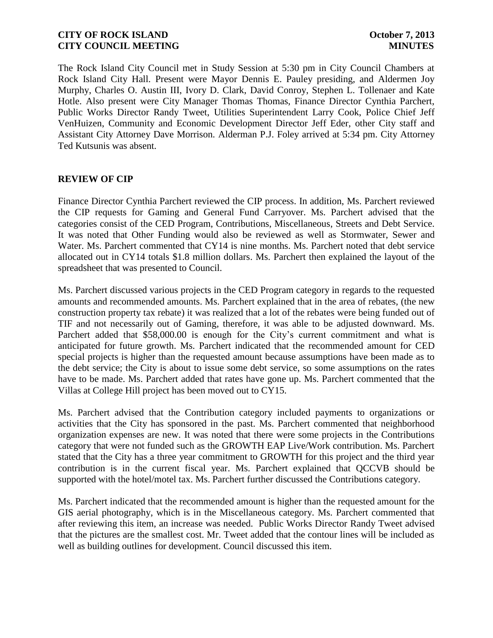The Rock Island City Council met in Study Session at 5:30 pm in City Council Chambers at Rock Island City Hall. Present were Mayor Dennis E. Pauley presiding, and Aldermen Joy Murphy, Charles O. Austin III, Ivory D. Clark, David Conroy, Stephen L. Tollenaer and Kate Hotle. Also present were City Manager Thomas Thomas, Finance Director Cynthia Parchert, Public Works Director Randy Tweet, Utilities Superintendent Larry Cook, Police Chief Jeff VenHuizen, Community and Economic Development Director Jeff Eder, other City staff and Assistant City Attorney Dave Morrison. Alderman P.J. Foley arrived at 5:34 pm. City Attorney Ted Kutsunis was absent.

## **REVIEW OF CIP**

Finance Director Cynthia Parchert reviewed the CIP process. In addition, Ms. Parchert reviewed the CIP requests for Gaming and General Fund Carryover. Ms. Parchert advised that the categories consist of the CED Program, Contributions, Miscellaneous, Streets and Debt Service. It was noted that Other Funding would also be reviewed as well as Stormwater, Sewer and Water. Ms. Parchert commented that CY14 is nine months. Ms. Parchert noted that debt service allocated out in CY14 totals \$1.8 million dollars. Ms. Parchert then explained the layout of the spreadsheet that was presented to Council.

Ms. Parchert discussed various projects in the CED Program category in regards to the requested amounts and recommended amounts. Ms. Parchert explained that in the area of rebates, (the new construction property tax rebate) it was realized that a lot of the rebates were being funded out of TIF and not necessarily out of Gaming, therefore, it was able to be adjusted downward. Ms. Parchert added that \$58,000.00 is enough for the City's current commitment and what is anticipated for future growth. Ms. Parchert indicated that the recommended amount for CED special projects is higher than the requested amount because assumptions have been made as to the debt service; the City is about to issue some debt service, so some assumptions on the rates have to be made. Ms. Parchert added that rates have gone up. Ms. Parchert commented that the Villas at College Hill project has been moved out to CY15.

Ms. Parchert advised that the Contribution category included payments to organizations or activities that the City has sponsored in the past. Ms. Parchert commented that neighborhood organization expenses are new. It was noted that there were some projects in the Contributions category that were not funded such as the GROWTH EAP Live/Work contribution. Ms. Parchert stated that the City has a three year commitment to GROWTH for this project and the third year contribution is in the current fiscal year. Ms. Parchert explained that QCCVB should be supported with the hotel/motel tax. Ms. Parchert further discussed the Contributions category.

Ms. Parchert indicated that the recommended amount is higher than the requested amount for the GIS aerial photography, which is in the Miscellaneous category. Ms. Parchert commented that after reviewing this item, an increase was needed. Public Works Director Randy Tweet advised that the pictures are the smallest cost. Mr. Tweet added that the contour lines will be included as well as building outlines for development. Council discussed this item.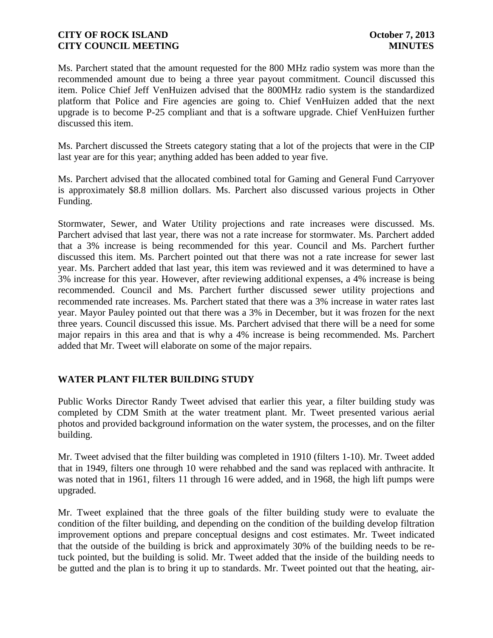Ms. Parchert stated that the amount requested for the 800 MHz radio system was more than the recommended amount due to being a three year payout commitment. Council discussed this item. Police Chief Jeff VenHuizen advised that the 800MHz radio system is the standardized platform that Police and Fire agencies are going to. Chief VenHuizen added that the next upgrade is to become P-25 compliant and that is a software upgrade. Chief VenHuizen further discussed this item.

Ms. Parchert discussed the Streets category stating that a lot of the projects that were in the CIP last year are for this year; anything added has been added to year five.

Ms. Parchert advised that the allocated combined total for Gaming and General Fund Carryover is approximately \$8.8 million dollars. Ms. Parchert also discussed various projects in Other Funding.

Stormwater, Sewer, and Water Utility projections and rate increases were discussed. Ms. Parchert advised that last year, there was not a rate increase for stormwater. Ms. Parchert added that a 3% increase is being recommended for this year. Council and Ms. Parchert further discussed this item. Ms. Parchert pointed out that there was not a rate increase for sewer last year. Ms. Parchert added that last year, this item was reviewed and it was determined to have a 3% increase for this year. However, after reviewing additional expenses, a 4% increase is being recommended. Council and Ms. Parchert further discussed sewer utility projections and recommended rate increases. Ms. Parchert stated that there was a 3% increase in water rates last year. Mayor Pauley pointed out that there was a 3% in December, but it was frozen for the next three years. Council discussed this issue. Ms. Parchert advised that there will be a need for some major repairs in this area and that is why a 4% increase is being recommended. Ms. Parchert added that Mr. Tweet will elaborate on some of the major repairs.

# **WATER PLANT FILTER BUILDING STUDY**

Public Works Director Randy Tweet advised that earlier this year, a filter building study was completed by CDM Smith at the water treatment plant. Mr. Tweet presented various aerial photos and provided background information on the water system, the processes, and on the filter building.

Mr. Tweet advised that the filter building was completed in 1910 (filters 1-10). Mr. Tweet added that in 1949, filters one through 10 were rehabbed and the sand was replaced with anthracite. It was noted that in 1961, filters 11 through 16 were added, and in 1968, the high lift pumps were upgraded.

Mr. Tweet explained that the three goals of the filter building study were to evaluate the condition of the filter building, and depending on the condition of the building develop filtration improvement options and prepare conceptual designs and cost estimates. Mr. Tweet indicated that the outside of the building is brick and approximately 30% of the building needs to be retuck pointed, but the building is solid. Mr. Tweet added that the inside of the building needs to be gutted and the plan is to bring it up to standards. Mr. Tweet pointed out that the heating, air-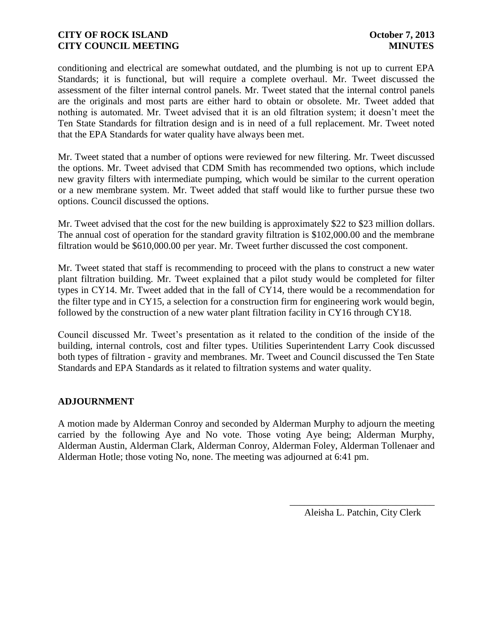conditioning and electrical are somewhat outdated, and the plumbing is not up to current EPA Standards; it is functional, but will require a complete overhaul. Mr. Tweet discussed the assessment of the filter internal control panels. Mr. Tweet stated that the internal control panels are the originals and most parts are either hard to obtain or obsolete. Mr. Tweet added that nothing is automated. Mr. Tweet advised that it is an old filtration system; it doesn't meet the Ten State Standards for filtration design and is in need of a full replacement. Mr. Tweet noted that the EPA Standards for water quality have always been met.

Mr. Tweet stated that a number of options were reviewed for new filtering. Mr. Tweet discussed the options. Mr. Tweet advised that CDM Smith has recommended two options, which include new gravity filters with intermediate pumping, which would be similar to the current operation or a new membrane system. Mr. Tweet added that staff would like to further pursue these two options. Council discussed the options.

Mr. Tweet advised that the cost for the new building is approximately \$22 to \$23 million dollars. The annual cost of operation for the standard gravity filtration is \$102,000.00 and the membrane filtration would be \$610,000.00 per year. Mr. Tweet further discussed the cost component.

Mr. Tweet stated that staff is recommending to proceed with the plans to construct a new water plant filtration building. Mr. Tweet explained that a pilot study would be completed for filter types in CY14. Mr. Tweet added that in the fall of CY14, there would be a recommendation for the filter type and in CY15, a selection for a construction firm for engineering work would begin, followed by the construction of a new water plant filtration facility in CY16 through CY18.

Council discussed Mr. Tweet's presentation as it related to the condition of the inside of the building, internal controls, cost and filter types. Utilities Superintendent Larry Cook discussed both types of filtration - gravity and membranes. Mr. Tweet and Council discussed the Ten State Standards and EPA Standards as it related to filtration systems and water quality.

### **ADJOURNMENT**

A motion made by Alderman Conroy and seconded by Alderman Murphy to adjourn the meeting carried by the following Aye and No vote. Those voting Aye being; Alderman Murphy, Alderman Austin, Alderman Clark, Alderman Conroy, Alderman Foley, Alderman Tollenaer and Alderman Hotle; those voting No, none. The meeting was adjourned at 6:41 pm.

> \_\_\_\_\_\_\_\_\_\_\_\_\_\_\_\_\_\_\_\_\_\_\_\_\_\_\_\_\_\_ Aleisha L. Patchin, City Clerk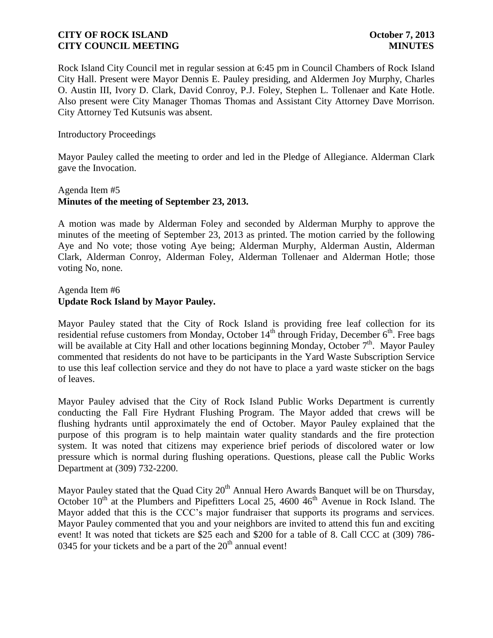Rock Island City Council met in regular session at 6:45 pm in Council Chambers of Rock Island City Hall. Present were Mayor Dennis E. Pauley presiding, and Aldermen Joy Murphy, Charles O. Austin III, Ivory D. Clark, David Conroy, P.J. Foley, Stephen L. Tollenaer and Kate Hotle. Also present were City Manager Thomas Thomas and Assistant City Attorney Dave Morrison. City Attorney Ted Kutsunis was absent.

### Introductory Proceedings

Mayor Pauley called the meeting to order and led in the Pledge of Allegiance. Alderman Clark gave the Invocation.

## Agenda Item #5 **Minutes of the meeting of September 23, 2013.**

A motion was made by Alderman Foley and seconded by Alderman Murphy to approve the minutes of the meeting of September 23, 2013 as printed. The motion carried by the following Aye and No vote; those voting Aye being; Alderman Murphy, Alderman Austin, Alderman Clark, Alderman Conroy, Alderman Foley, Alderman Tollenaer and Alderman Hotle; those voting No, none.

### Agenda Item #6 **Update Rock Island by Mayor Pauley.**

Mayor Pauley stated that the City of Rock Island is providing free leaf collection for its residential refuse customers from Monday, October  $14<sup>th</sup>$  through Friday, December  $6<sup>th</sup>$ . Free bags will be available at City Hall and other locations beginning Monday, October  $7<sup>th</sup>$ . Mayor Pauley commented that residents do not have to be participants in the Yard Waste Subscription Service to use this leaf collection service and they do not have to place a yard waste sticker on the bags of leaves.

Mayor Pauley advised that the City of Rock Island Public Works Department is currently conducting the Fall Fire Hydrant Flushing Program. The Mayor added that crews will be flushing hydrants until approximately the end of October. Mayor Pauley explained that the purpose of this program is to help maintain water quality standards and the fire protection system. It was noted that citizens may experience brief periods of discolored water or low pressure which is normal during flushing operations. Questions, please call the Public Works Department at (309) 732-2200.

Mayor Pauley stated that the Quad City  $20<sup>th</sup>$  Annual Hero Awards Banquet will be on Thursday, October  $10^{th}$  at the Plumbers and Pipefitters Local 25, 4600  $46^{th}$  Avenue in Rock Island. The Mayor added that this is the CCC's major fundraiser that supports its programs and services. Mayor Pauley commented that you and your neighbors are invited to attend this fun and exciting event! It was noted that tickets are \$25 each and \$200 for a table of 8. Call CCC at (309) 786- 0345 for your tickets and be a part of the  $20<sup>th</sup>$  annual event!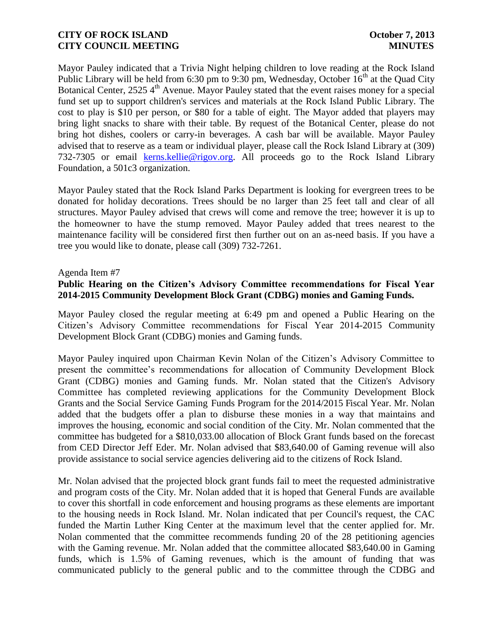Mayor Pauley indicated that a Trivia Night helping children to love reading at the Rock Island Public Library will be held from 6:30 pm to 9:30 pm, Wednesday, October  $16<sup>th</sup>$  at the Quad City Botanical Center,  $2525\,4^{\text{th}}$  Avenue. Mayor Pauley stated that the event raises money for a special fund set up to support children's services and materials at the Rock Island Public Library. The cost to play is \$10 per person, or \$80 for a table of eight. The Mayor added that players may bring light snacks to share with their table. By request of the Botanical Center, please do not bring hot dishes, coolers or carry-in beverages. A cash bar will be available. Mayor Pauley advised that to reserve as a team or individual player, please call the Rock Island Library at (309) 732-7305 or email [kerns.kellie@rigov.org.](mailto:kerns.kellie@rigov.org) All proceeds go to the Rock Island Library Foundation, a 501c3 organization.

Mayor Pauley stated that the Rock Island Parks Department is looking for evergreen trees to be donated for holiday decorations. Trees should be no larger than 25 feet tall and clear of all structures. Mayor Pauley advised that crews will come and remove the tree; however it is up to the homeowner to have the stump removed. Mayor Pauley added that trees nearest to the maintenance facility will be considered first then further out on an as-need basis. If you have a tree you would like to donate, please call (309) 732-7261.

#### Agenda Item #7

### **Public Hearing on the Citizen's Advisory Committee recommendations for Fiscal Year 2014-2015 Community Development Block Grant (CDBG) monies and Gaming Funds.**

Mayor Pauley closed the regular meeting at 6:49 pm and opened a Public Hearing on the Citizen's Advisory Committee recommendations for Fiscal Year 2014-2015 Community Development Block Grant (CDBG) monies and Gaming funds.

Mayor Pauley inquired upon Chairman Kevin Nolan of the Citizen's Advisory Committee to present the committee's recommendations for allocation of Community Development Block Grant (CDBG) monies and Gaming funds. Mr. Nolan stated that the Citizen's Advisory Committee has completed reviewing applications for the Community Development Block Grants and the Social Service Gaming Funds Program for the 2014/2015 Fiscal Year. Mr. Nolan added that the budgets offer a plan to disburse these monies in a way that maintains and improves the housing, economic and social condition of the City. Mr. Nolan commented that the committee has budgeted for a \$810,033.00 allocation of Block Grant funds based on the forecast from CED Director Jeff Eder. Mr. Nolan advised that \$83,640.00 of Gaming revenue will also provide assistance to social service agencies delivering aid to the citizens of Rock Island.

 Mr. Nolan advised that the projected block grant funds fail to meet the requested administrative and program costs of the City. Mr. Nolan added that it is hoped that General Funds are available to cover this shortfall in code enforcement and housing programs as these elements are important to the housing needs in Rock Island. Mr. Nolan indicated that per Council's request, the CAC funded the Martin Luther King Center at the maximum level that the center applied for. Mr. Nolan commented that the committee recommends funding 20 of the 28 petitioning agencies with the Gaming revenue. Mr. Nolan added that the committee allocated \$83,640.00 in Gaming funds, which is 1.5% of Gaming revenues, which is the amount of funding that was communicated publicly to the general public and to the committee through the CDBG and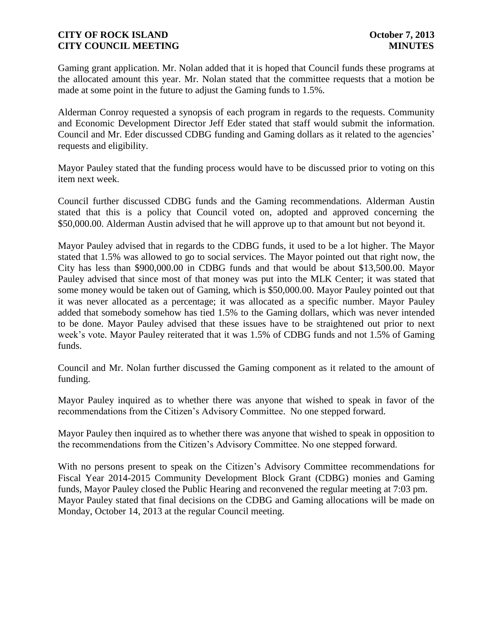Gaming grant application. Mr. Nolan added that it is hoped that Council funds these programs at the allocated amount this year. Mr. Nolan stated that the committee requests that a motion be made at some point in the future to adjust the Gaming funds to 1.5%.

Alderman Conroy requested a synopsis of each program in regards to the requests. Community and Economic Development Director Jeff Eder stated that staff would submit the information. Council and Mr. Eder discussed CDBG funding and Gaming dollars as it related to the agencies' requests and eligibility.

Mayor Pauley stated that the funding process would have to be discussed prior to voting on this item next week.

Council further discussed CDBG funds and the Gaming recommendations. Alderman Austin stated that this is a policy that Council voted on, adopted and approved concerning the \$50,000.00. Alderman Austin advised that he will approve up to that amount but not beyond it.

Mayor Pauley advised that in regards to the CDBG funds, it used to be a lot higher. The Mayor stated that 1.5% was allowed to go to social services. The Mayor pointed out that right now, the City has less than \$900,000.00 in CDBG funds and that would be about \$13,500.00. Mayor Pauley advised that since most of that money was put into the MLK Center; it was stated that some money would be taken out of Gaming, which is \$50,000.00. Mayor Pauley pointed out that it was never allocated as a percentage; it was allocated as a specific number. Mayor Pauley added that somebody somehow has tied 1.5% to the Gaming dollars, which was never intended to be done. Mayor Pauley advised that these issues have to be straightened out prior to next week's vote. Mayor Pauley reiterated that it was 1.5% of CDBG funds and not 1.5% of Gaming funds.

Council and Mr. Nolan further discussed the Gaming component as it related to the amount of funding.

Mayor Pauley inquired as to whether there was anyone that wished to speak in favor of the recommendations from the Citizen's Advisory Committee. No one stepped forward.

Mayor Pauley then inquired as to whether there was anyone that wished to speak in opposition to the recommendations from the Citizen's Advisory Committee. No one stepped forward.

With no persons present to speak on the Citizen's Advisory Committee recommendations for Fiscal Year 2014-2015 Community Development Block Grant (CDBG) monies and Gaming funds, Mayor Pauley closed the Public Hearing and reconvened the regular meeting at 7:03 pm. Mayor Pauley stated that final decisions on the CDBG and Gaming allocations will be made on Monday, October 14, 2013 at the regular Council meeting.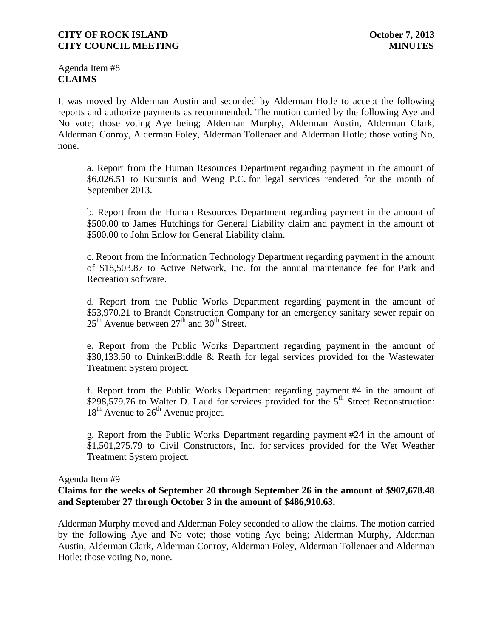Agenda Item #8 **CLAIMS**

It was moved by Alderman Austin and seconded by Alderman Hotle to accept the following reports and authorize payments as recommended. The motion carried by the following Aye and No vote; those voting Aye being; Alderman Murphy, Alderman Austin, Alderman Clark, Alderman Conroy, Alderman Foley, Alderman Tollenaer and Alderman Hotle; those voting No, none.

a. Report from the Human Resources Department regarding payment in the amount of \$6,026.51 to Kutsunis and Weng P.C. for legal services rendered for the month of September 2013.

b. Report from the Human Resources Department regarding payment in the amount of \$500.00 to James Hutchings for General Liability claim and payment in the amount of \$500.00 to John Enlow for General Liability claim.

c. Report from the Information Technology Department regarding payment in the amount of \$18,503.87 to Active Network, Inc. for the annual maintenance fee for Park and Recreation software.

d. Report from the Public Works Department regarding payment in the amount of \$53,970.21 to Brandt Construction Company for an emergency sanitary sewer repair on  $25<sup>th</sup>$  Avenue between  $27<sup>th</sup>$  and  $30<sup>th</sup>$  Street.

e. Report from the Public Works Department regarding payment in the amount of \$30,133.50 to DrinkerBiddle & Reath for legal services provided for the Wastewater Treatment System project.

f. Report from the Public Works Department regarding payment #4 in the amount of  $$298,579.76$  to Walter D. Laud for services provided for the  $5<sup>th</sup>$  Street Reconstruction:  $18<sup>th</sup>$  Avenue to  $26<sup>th</sup>$  Avenue project.

g. Report from the Public Works Department regarding payment #24 in the amount of \$1,501,275.79 to Civil Constructors, Inc. for services provided for the Wet Weather Treatment System project.

#### Agenda Item #9

## **Claims for the weeks of September 20 through September 26 in the amount of \$907,678.48 and September 27 through October 3 in the amount of \$486,910.63.**

Alderman Murphy moved and Alderman Foley seconded to allow the claims. The motion carried by the following Aye and No vote; those voting Aye being; Alderman Murphy, Alderman Austin, Alderman Clark, Alderman Conroy, Alderman Foley, Alderman Tollenaer and Alderman Hotle; those voting No, none.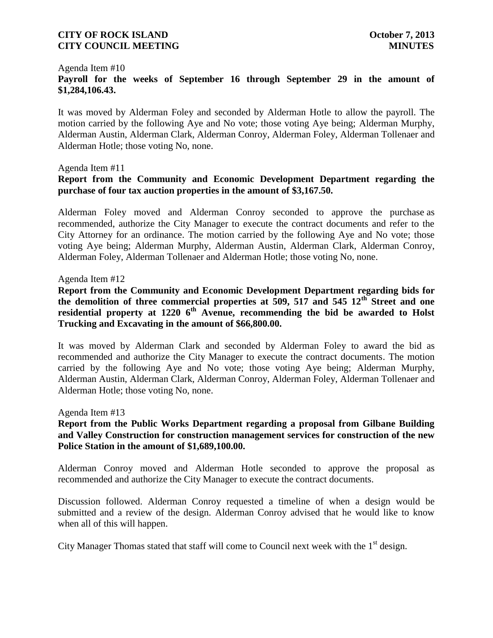#### Agenda Item #10

# **Payroll for the weeks of September 16 through September 29 in the amount of \$1,284,106.43.**

It was moved by Alderman Foley and seconded by Alderman Hotle to allow the payroll. The motion carried by the following Aye and No vote; those voting Aye being; Alderman Murphy, Alderman Austin, Alderman Clark, Alderman Conroy, Alderman Foley, Alderman Tollenaer and Alderman Hotle; those voting No, none.

### Agenda Item #11

## **Report from the Community and Economic Development Department regarding the purchase of four tax auction properties in the amount of \$3,167.50.**

Alderman Foley moved and Alderman Conroy seconded to approve the purchase as recommended, authorize the City Manager to execute the contract documents and refer to the City Attorney for an ordinance. The motion carried by the following Aye and No vote; those voting Aye being; Alderman Murphy, Alderman Austin, Alderman Clark, Alderman Conroy, Alderman Foley, Alderman Tollenaer and Alderman Hotle; those voting No, none.

### Agenda Item #12

**Report from the Community and Economic Development Department regarding bids for the demolition of three commercial properties at 509, 517 and 545 12th Street and one residential property at 1220 6th Avenue, recommending the bid be awarded to Holst Trucking and Excavating in the amount of \$66,800.00.** 

It was moved by Alderman Clark and seconded by Alderman Foley to award the bid as recommended and authorize the City Manager to execute the contract documents. The motion carried by the following Aye and No vote; those voting Aye being; Alderman Murphy, Alderman Austin, Alderman Clark, Alderman Conroy, Alderman Foley, Alderman Tollenaer and Alderman Hotle; those voting No, none.

#### Agenda Item #13

## **Report from the Public Works Department regarding a proposal from Gilbane Building and Valley Construction for construction management services for construction of the new Police Station in the amount of \$1,689,100.00.**

Alderman Conroy moved and Alderman Hotle seconded to approve the proposal as recommended and authorize the City Manager to execute the contract documents.

Discussion followed. Alderman Conroy requested a timeline of when a design would be submitted and a review of the design. Alderman Conroy advised that he would like to know when all of this will happen.

City Manager Thomas stated that staff will come to Council next week with the  $1<sup>st</sup>$  design.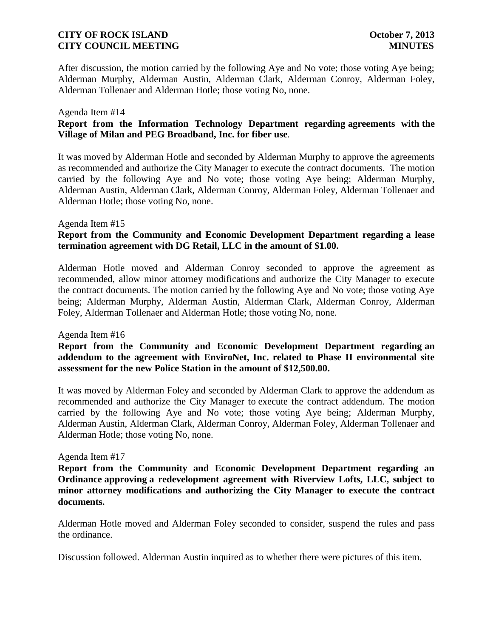After discussion, the motion carried by the following Aye and No vote; those voting Aye being; Alderman Murphy, Alderman Austin, Alderman Clark, Alderman Conroy, Alderman Foley, Alderman Tollenaer and Alderman Hotle; those voting No, none.

### Agenda Item #14

## **Report from the Information Technology Department regarding agreements with the Village of Milan and PEG Broadband, Inc. for fiber use**.

It was moved by Alderman Hotle and seconded by Alderman Murphy to approve the agreements as recommended and authorize the City Manager to execute the contract documents. The motion carried by the following Aye and No vote; those voting Aye being; Alderman Murphy, Alderman Austin, Alderman Clark, Alderman Conroy, Alderman Foley, Alderman Tollenaer and Alderman Hotle; those voting No, none.

### Agenda Item #15

## **Report from the Community and Economic Development Department regarding a lease termination agreement with DG Retail, LLC in the amount of \$1.00.**

Alderman Hotle moved and Alderman Conroy seconded to approve the agreement as recommended, allow minor attorney modifications and authorize the City Manager to execute the contract documents. The motion carried by the following Aye and No vote; those voting Aye being; Alderman Murphy, Alderman Austin, Alderman Clark, Alderman Conroy, Alderman Foley, Alderman Tollenaer and Alderman Hotle; those voting No, none.

#### Agenda Item #16

## **Report from the Community and Economic Development Department regarding an addendum to the agreement with EnviroNet, Inc. related to Phase II environmental site assessment for the new Police Station in the amount of \$12,500.00.**

It was moved by Alderman Foley and seconded by Alderman Clark to approve the addendum as recommended and authorize the City Manager to execute the contract addendum. The motion carried by the following Aye and No vote; those voting Aye being; Alderman Murphy, Alderman Austin, Alderman Clark, Alderman Conroy, Alderman Foley, Alderman Tollenaer and Alderman Hotle; those voting No, none.

#### Agenda Item #17

**Report from the Community and Economic Development Department regarding an Ordinance approving a redevelopment agreement with Riverview Lofts, LLC, subject to minor attorney modifications and authorizing the City Manager to execute the contract documents.**

Alderman Hotle moved and Alderman Foley seconded to consider, suspend the rules and pass the ordinance.

Discussion followed. Alderman Austin inquired as to whether there were pictures of this item.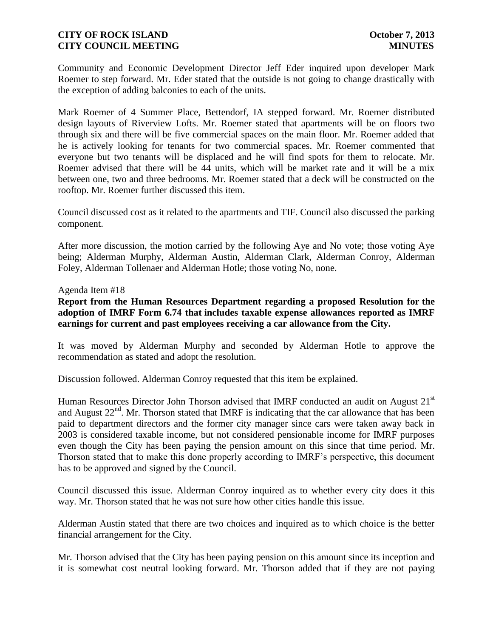Community and Economic Development Director Jeff Eder inquired upon developer Mark Roemer to step forward. Mr. Eder stated that the outside is not going to change drastically with the exception of adding balconies to each of the units.

Mark Roemer of 4 Summer Place, Bettendorf, IA stepped forward. Mr. Roemer distributed design layouts of Riverview Lofts. Mr. Roemer stated that apartments will be on floors two through six and there will be five commercial spaces on the main floor. Mr. Roemer added that he is actively looking for tenants for two commercial spaces. Mr. Roemer commented that everyone but two tenants will be displaced and he will find spots for them to relocate. Mr. Roemer advised that there will be 44 units, which will be market rate and it will be a mix between one, two and three bedrooms. Mr. Roemer stated that a deck will be constructed on the rooftop. Mr. Roemer further discussed this item.

Council discussed cost as it related to the apartments and TIF. Council also discussed the parking component.

After more discussion, the motion carried by the following Aye and No vote; those voting Aye being; Alderman Murphy, Alderman Austin, Alderman Clark, Alderman Conroy, Alderman Foley, Alderman Tollenaer and Alderman Hotle; those voting No, none.

### Agenda Item #18

**Report from the Human Resources Department regarding a proposed Resolution for the adoption of IMRF Form 6.74 that includes taxable expense allowances reported as IMRF earnings for current and past employees receiving a car allowance from the City.**

It was moved by Alderman Murphy and seconded by Alderman Hotle to approve the recommendation as stated and adopt the resolution.

Discussion followed. Alderman Conroy requested that this item be explained.

Human Resources Director John Thorson advised that IMRF conducted an audit on August 21<sup>st</sup> and August  $22<sup>nd</sup>$ . Mr. Thorson stated that IMRF is indicating that the car allowance that has been paid to department directors and the former city manager since cars were taken away back in 2003 is considered taxable income, but not considered pensionable income for IMRF purposes even though the City has been paying the pension amount on this since that time period. Mr. Thorson stated that to make this done properly according to IMRF's perspective, this document has to be approved and signed by the Council.

Council discussed this issue. Alderman Conroy inquired as to whether every city does it this way. Mr. Thorson stated that he was not sure how other cities handle this issue.

Alderman Austin stated that there are two choices and inquired as to which choice is the better financial arrangement for the City.

Mr. Thorson advised that the City has been paying pension on this amount since its inception and it is somewhat cost neutral looking forward. Mr. Thorson added that if they are not paying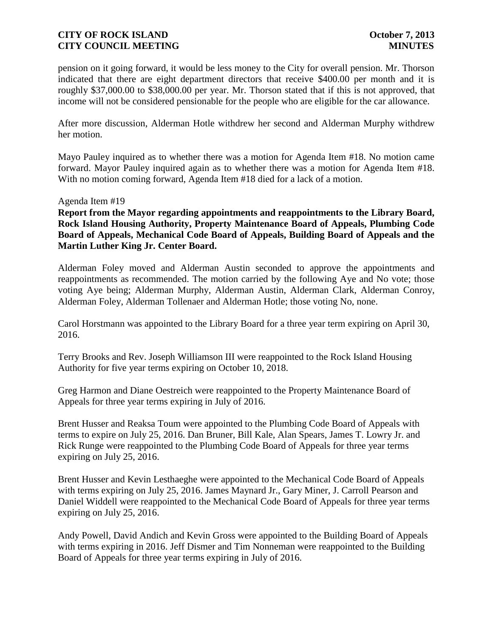pension on it going forward, it would be less money to the City for overall pension. Mr. Thorson indicated that there are eight department directors that receive \$400.00 per month and it is roughly \$37,000.00 to \$38,000.00 per year. Mr. Thorson stated that if this is not approved, that income will not be considered pensionable for the people who are eligible for the car allowance.

After more discussion, Alderman Hotle withdrew her second and Alderman Murphy withdrew her motion.

Mayo Pauley inquired as to whether there was a motion for Agenda Item #18. No motion came forward. Mayor Pauley inquired again as to whether there was a motion for Agenda Item #18. With no motion coming forward, Agenda Item #18 died for a lack of a motion.

### Agenda Item #19

**Report from the Mayor regarding appointments and reappointments to the Library Board, Rock Island Housing Authority, Property Maintenance Board of Appeals, Plumbing Code Board of Appeals, Mechanical Code Board of Appeals, Building Board of Appeals and the Martin Luther King Jr. Center Board.**

Alderman Foley moved and Alderman Austin seconded to approve the appointments and reappointments as recommended. The motion carried by the following Aye and No vote; those voting Aye being; Alderman Murphy, Alderman Austin, Alderman Clark, Alderman Conroy, Alderman Foley, Alderman Tollenaer and Alderman Hotle; those voting No, none.

Carol Horstmann was appointed to the Library Board for a three year term expiring on April 30, 2016.

Terry Brooks and Rev. Joseph Williamson III were reappointed to the Rock Island Housing Authority for five year terms expiring on October 10, 2018.

Greg Harmon and Diane Oestreich were reappointed to the Property Maintenance Board of Appeals for three year terms expiring in July of 2016.

Brent Husser and Reaksa Toum were appointed to the Plumbing Code Board of Appeals with terms to expire on July 25, 2016. Dan Bruner, Bill Kale, Alan Spears, James T. Lowry Jr. and Rick Runge were reappointed to the Plumbing Code Board of Appeals for three year terms expiring on July 25, 2016.

Brent Husser and Kevin Lesthaeghe were appointed to the Mechanical Code Board of Appeals with terms expiring on July 25, 2016. James Maynard Jr., Gary Miner, J. Carroll Pearson and Daniel Widdell were reappointed to the Mechanical Code Board of Appeals for three year terms expiring on July 25, 2016.

Andy Powell, David Andich and Kevin Gross were appointed to the Building Board of Appeals with terms expiring in 2016. Jeff Dismer and Tim Nonneman were reappointed to the Building Board of Appeals for three year terms expiring in July of 2016.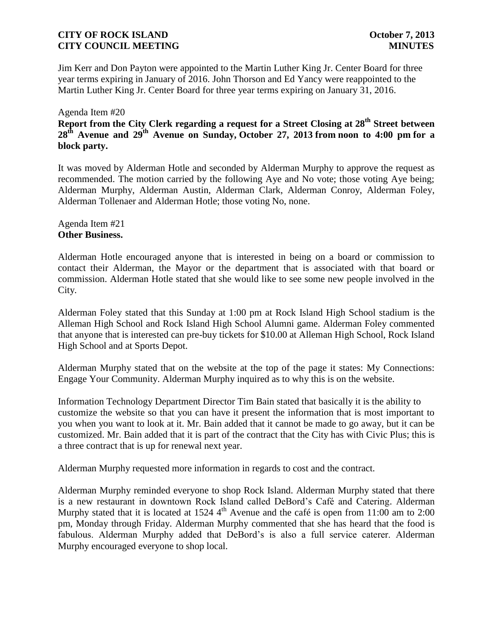Jim Kerr and Don Payton were appointed to the Martin Luther King Jr. Center Board for three year terms expiring in January of 2016. John Thorson and Ed Yancy were reappointed to the Martin Luther King Jr. Center Board for three year terms expiring on January 31, 2016.

### Agenda Item #20

# **Report from the City Clerk regarding a request for a Street Closing at 28th Street between 28th Avenue and 29th Avenue on Sunday, October 27, 2013 from noon to 4:00 pm for a block party.**

It was moved by Alderman Hotle and seconded by Alderman Murphy to approve the request as recommended. The motion carried by the following Aye and No vote; those voting Aye being; Alderman Murphy, Alderman Austin, Alderman Clark, Alderman Conroy, Alderman Foley, Alderman Tollenaer and Alderman Hotle; those voting No, none.

Agenda Item #21 **Other Business.**

Alderman Hotle encouraged anyone that is interested in being on a board or commission to contact their Alderman, the Mayor or the department that is associated with that board or commission. Alderman Hotle stated that she would like to see some new people involved in the City.

Alderman Foley stated that this Sunday at 1:00 pm at Rock Island High School stadium is the Alleman High School and Rock Island High School Alumni game. Alderman Foley commented that anyone that is interested can pre-buy tickets for \$10.00 at Alleman High School, Rock Island High School and at Sports Depot.

Alderman Murphy stated that on the website at the top of the page it states: My Connections: Engage Your Community. Alderman Murphy inquired as to why this is on the website.

Information Technology Department Director Tim Bain stated that basically it is the ability to customize the website so that you can have it present the information that is most important to you when you want to look at it. Mr. Bain added that it cannot be made to go away, but it can be customized. Mr. Bain added that it is part of the contract that the City has with Civic Plus; this is a three contract that is up for renewal next year.

Alderman Murphy requested more information in regards to cost and the contract.

Alderman Murphy reminded everyone to shop Rock Island. Alderman Murphy stated that there is a new restaurant in downtown Rock Island called DeBord's Café and Catering. Alderman Murphy stated that it is located at 1524 4<sup>th</sup> Avenue and the café is open from 11:00 am to 2:00 pm, Monday through Friday. Alderman Murphy commented that she has heard that the food is fabulous. Alderman Murphy added that DeBord's is also a full service caterer. Alderman Murphy encouraged everyone to shop local.